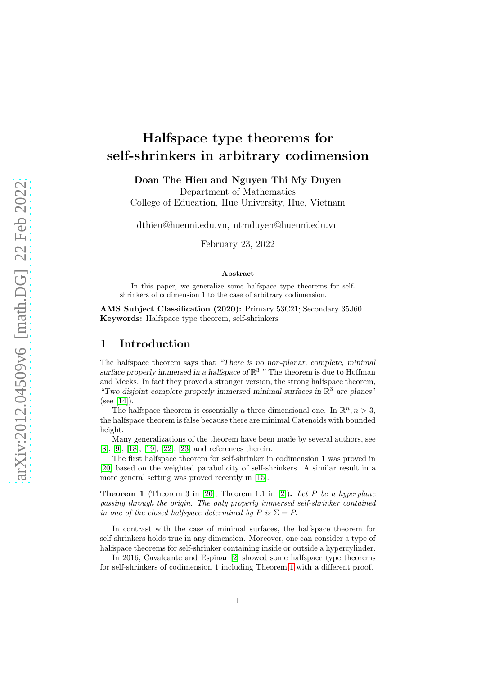# Halfspace type theorems for self-shrinkers in arbitrary codimension

Doan The Hieu and Nguyen Thi My Duyen Department of Mathematics

College of Education, Hue University, Hue, Vietnam

dthieu@hueuni.edu.vn, ntmduyen@hueuni.edu.vn

February 23, 2022

#### Abstract

In this paper, we generalize some halfspace type theorems for selfshrinkers of codimension 1 to the case of arbitrary codimension.

AMS Subject Classification (2020): Primary 53C21; Secondary 35J60 Keywords: Halfspace type theorem, self-shrinkers

### 1 Introduction

The halfspace theorem says that *"There is no non-planar, complete, minimal* surface properly immersed in a halfspace of  $\mathbb{R}^3$ ." The theorem is due to Hoffman and Meeks. In fact they proved a stronger version, the strong halfspace theorem, *"Two disjoint complete properly immersed minimal surfaces in* R <sup>3</sup> *are planes"*  $(see [14]).$  $(see [14]).$  $(see [14]).$ 

The halfspace theorem is essentially a three-dimensional one. In  $\mathbb{R}^n, n > 3$ , the halfspace theorem is false because there are minimal Catenoids with bounded height.

Many generalizations of the theorem have been made by several authors, see [\[8\]](#page-9-0), [\[9\]](#page-9-1), [\[18\]](#page-10-1), [\[19\]](#page-10-2), [\[22\]](#page-10-3), [\[23\]](#page-10-4) and references therein.

The first halfspace theorem for self-shrinker in codimension 1 was proved in [\[20\]](#page-10-5) based on the weighted parabolicity of self-shrinkers. A similar result in a more general setting was proved recently in [\[15\]](#page-10-6).

<span id="page-0-0"></span>**Theorem 1** (Theorem 3 in [\[20\]](#page-10-5); Theorem 1.1 in [\[2\]](#page-9-2)). Let P be a hyperplane passing through the origin. The only properly immersed self-shrinker contained in one of the closed halfspace determined by P is  $\Sigma = P$ .

In contrast with the case of minimal surfaces, the halfspace theorem for self-shrinkers holds true in any dimension. Moreover, one can consider a type of halfspace theorems for self-shrinker containing inside or outside a hypercylinder.

In 2016, Cavalcante and Espinar [\[2\]](#page-9-2) showed some halfspace type theorems for self-shrinkers of codimension 1 including Theorem [1](#page-0-0) with a different proof.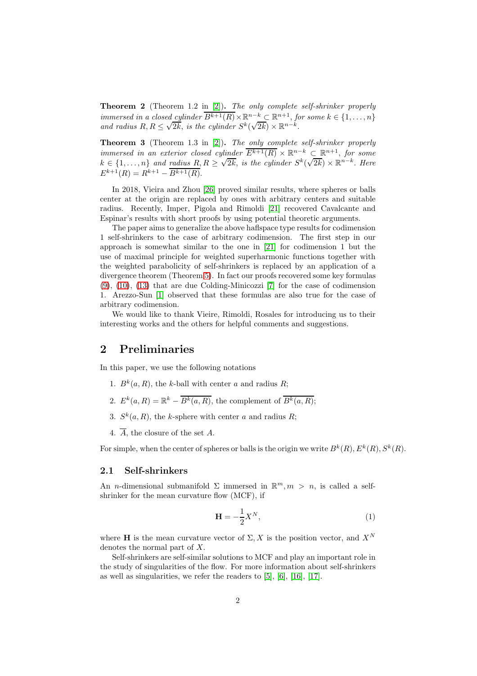Theorem 2 (Theorem 1.2 in [\[2\]](#page-9-2)). The only complete self-shrinker properly immersed in a closed cylinder  $\overline{B^{k+1}(R)} \times \mathbb{R}^{n-k} \subset \mathbb{R}^{n+1}$ , for some  $k \in \{1, \ldots, n\}$ and radius  $R, R \leq \sqrt{2k}$ , is the cylinder  $S^k(\sqrt{2k}) \times \mathbb{R}^{n-k}$ .

Theorem 3 (Theorem 1.3 in [\[2\]](#page-9-2)). The only complete self-shrinker properly immersed in an exterior closed cylinder  $\overline{E^{k+1}(R)} \times \mathbb{R}^{n-k} \subset \mathbb{R}^{n+1}$ , for some  $k \in \{1, \ldots, n\}$  and radius  $R, R \ge \sqrt{2k}$ , is the cylinder  $S^k(\sqrt{2k}) \times \mathbb{R}^{n-k}$ . Here  $E^{k+1}(R) = R^{k+1} - \overline{B^{k+1}(R)}.$ 

In 2018, Vieira and Zhou [\[26\]](#page-10-7) proved similar results, where spheres or balls center at the origin are replaced by ones with arbitrary centers and suitable radius. Recently, Imper, Pigola and Rimoldi [\[21\]](#page-10-8) recovered Cavalcante and Espinar's results with short proofs by using potential theoretic arguments.

The paper aims to generalize the above haflspace type results for codimension 1 self-shrinkers to the case of arbitrary codimension. The first step in our approach is somewhat similar to the one in [\[21\]](#page-10-8) for codimension 1 but the use of maximal principle for weighted superharmonic functions together with the weighted parabolicity of self-shrinkers is replaced by an application of a divergence theorem (Theorem [5\)](#page-4-0). In fact our proofs recovered some key formulas [\(9\)](#page-5-0), [\(10\)](#page-6-0), [\(13\)](#page-7-0) that are due Colding-Minicozzi [\[7\]](#page-9-3) for the case of codimension 1. Arezzo-Sun [\[1\]](#page-9-4) observed that these formulas are also true for the case of arbitrary codimension.

We would like to thank Vieire, Rimoldi, Rosales for introducing us to their interesting works and the others for helpful comments and suggestions.

# 2 Preliminaries

In this paper, we use the following notations

- 1.  $B^k(a, R)$ , the k-ball with center a and radius R;
- 2.  $E^k(a,R) = \mathbb{R}^k \overline{B^k(a,R)}$ , the complement of  $\overline{B^k(a,R)}$ ;
- 3.  $S^k(a, R)$ , the k-sphere with center a and radius R;
- 4.  $\overline{A}$ , the closure of the set A.

For simple, when the center of spheres or balls is the origin we write  $B^k(R)$ ,  $E^k(R)$ ,  $S^k(R)$ .

#### 2.1 Self-shrinkers

An *n*-dimensional submanifold  $\Sigma$  immersed in  $\mathbb{R}^m, m > n$ , is called a selfshrinker for the mean curvature flow (MCF), if

$$
\mathbf{H} = -\frac{1}{2}X^N,\tag{1}
$$

where **H** is the mean curvature vector of  $\Sigma$ , X is the position vector, and  $X^N$ denotes the normal part of X.

Self-shrinkers are self-similar solutions to MCF and play an important role in the study of singularities of the flow. For more information about self-shrinkers as well as singularities, we refer the readers to [\[5\]](#page-9-5), [\[6\]](#page-9-6), [\[16\]](#page-10-9), [\[17\]](#page-10-10).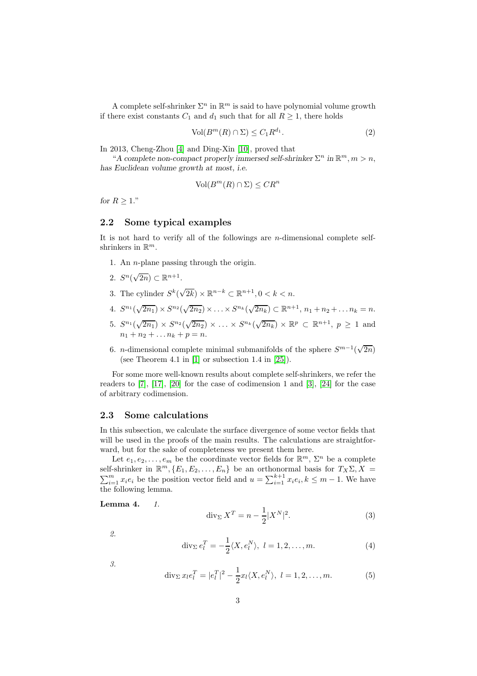A complete self-shrinker  $\Sigma^n$  in  $\mathbb{R}^m$  is said to have polynomial volume growth if there exist constants  $C_1$  and  $d_1$  such that for all  $R \geq 1$ , there holds

$$
Vol(Bm(R) \cap \Sigma) \le C_1 R^{d_1}.
$$
 (2)

In 2013, Cheng-Zhou [\[4\]](#page-9-7) and Ding-Xin [\[10\]](#page-9-8), proved that

"*A complete non-compact properly immersed self-shrinker*  $\Sigma^n$  in  $\mathbb{R}^m$ ,  $m > n$ , *has Euclidean volume growth at most, i.e.*

$$
\text{Vol}(B^m(R) \cap \Sigma) \leq CR^n
$$

*for*  $R \geq 1$ ."

#### 2.2 Some typical examples

It is not hard to verify all of the followings are n-dimensional complete selfshrinkers in  $\mathbb{R}^m$ .

- 1. An n-plane passing through the origin.
- 2.  $S^n(\sqrt{2n}) \subset \mathbb{R}^{n+1}$ .
- 3. The cylinder  $S^k(\sqrt{2k}) \times \mathbb{R}^{n-k} \subset \mathbb{R}^{n+1}, 0 < k < n$ .
- 4.  $S^{n_1}(\sqrt{2n_1}) \times S^{n_2}(\sqrt{2n_2}) \times \ldots \times S^{n_k}(\sqrt{2n_k}) \subset \mathbb{R}^{n+1}, n_1 + n_2 + \ldots + n_k = n.$
- 5.  $S^{n_1}(\sqrt{2n_1}) \times S^{n_2}(\sqrt{2n_2}) \times ... \times S^{n_k}(\sqrt{2n_k}) \times \mathbb{R}^p \subset \mathbb{R}^{n+1}, p \ge 1$  and  $n_1 + n_2 + \ldots + n_k + p = n$ .
- 6. *n*-dimensional complete minimal submanifolds of the sphere  $S^{m-1}(\sqrt{2n})$ (see Theorem 4.1 in [\[1\]](#page-9-4) or subsection 1.4 in [\[25\]](#page-10-11)).

For some more well-known results about complete self-shrinkers, we refer the readers to [\[7\]](#page-9-3), [\[17\]](#page-10-10), [\[20\]](#page-10-5) for the case of codimension 1 and [\[3\]](#page-9-9), [\[24\]](#page-10-12) for the case of arbitrary codimension.

#### 2.3 Some calculations

In this subsection, we calculate the surface divergence of some vector fields that will be used in the proofs of the main results. The calculations are straightforward, but for the sake of completeness we present them here.

Let  $e_1, e_2, \ldots, e_m$  be the coordinate vector fields for  $\mathbb{R}^m$ ,  $\Sigma^n$  be a complete self-shrinker in  $\mathbb{R}^m$ ,  $\{E_1, E_2, \ldots, E_n\}$  be an orthonormal basis for  $T_X \Sigma, X =$  $\sum_{i=1}^{m} x_i e_i$  be the position vector field and  $u = \sum_{i=1}^{k+1} x_i e_i, k \leq m-1$ . We have the following lemma.

#### Lemma 4. 1.

<span id="page-2-1"></span>
$$
\operatorname{div}_{\Sigma} X^T = n - \frac{1}{2} |X^N|^2. \tag{3}
$$

2.

<span id="page-2-0"></span>
$$
\operatorname{div}_{\Sigma} e_l^T = -\frac{1}{2} \langle X, e_l^N \rangle, \ l = 1, 2, \dots, m. \tag{4}
$$

3.

<span id="page-2-2"></span>
$$
\operatorname{div}_{\Sigma} x_l e_l^T = |e_l^T|^2 - \frac{1}{2} x_l \langle X, e_l^N \rangle, \ l = 1, 2, \dots, m. \tag{5}
$$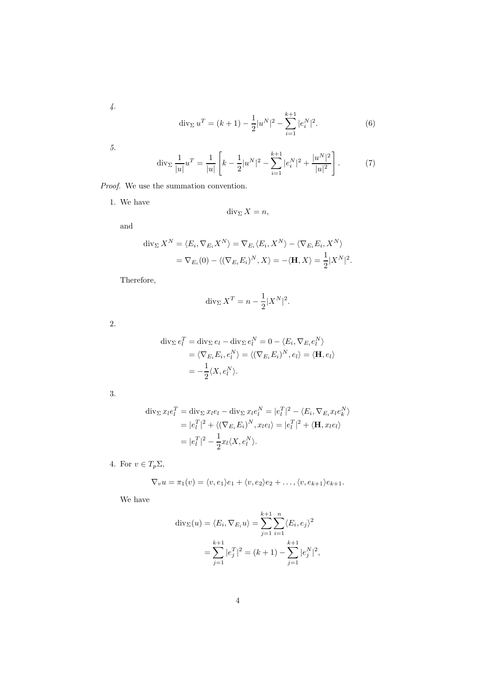4.

$$
\operatorname{div}_{\Sigma} u^T = (k+1) - \frac{1}{2} |u^N|^2 - \sum_{i=1}^{k+1} |e_i^N|^2. \tag{6}
$$

5.

<span id="page-3-0"></span>
$$
\operatorname{div}_{\Sigma} \frac{1}{|u|} u^T = \frac{1}{|u|} \left[ k - \frac{1}{2} |u^N|^2 - \sum_{i=1}^{k+1} |e_i^N|^2 + \frac{|u^N|^2}{|u|^2} \right]. \tag{7}
$$

Proof. We use the summation convention.

1. We have

$$
\operatorname{div}_{\Sigma} X = n,
$$

and

$$
\begin{aligned} \operatorname{div}_{\Sigma} X^N &= \langle E_i, \nabla_{E_i} X^N \rangle = \nabla_{E_i} \langle E_i, X^N \rangle - \langle \nabla_{E_i} E_i, X^N \rangle \\ &= \nabla_{E_i} (0) - \langle (\nabla_{E_i} E_i)^N, X \rangle = -\langle \mathbf{H}, X \rangle = \frac{1}{2} |X^N|^2. \end{aligned}
$$

Therefore,

$$
\operatorname{div}_{\Sigma} X^T = n - \frac{1}{2} |X^N|^2.
$$

2.

$$
\operatorname{div}_{\Sigma} e_l^T = \operatorname{div}_{\Sigma} e_l - \operatorname{div}_{\Sigma} e_l^N = 0 - \langle E_i, \nabla_{E_i} e_l^N \rangle
$$
  
=  $\langle \nabla_{E_i} E_i, e_l^N \rangle = \langle (\nabla_{E_i} E_i)^N, e_l \rangle = \langle \mathbf{H}, e_l \rangle$   
=  $-\frac{1}{2} \langle X, e_l^N \rangle$ .

3.

$$
\operatorname{div}_{\Sigma} x_l e_l^T = \operatorname{div}_{\Sigma} x_l e_l - \operatorname{div}_{\Sigma} x_l e_l^N = |e_l^T|^2 - \langle E_i, \nabla_{E_i} x_l e_k^N \rangle
$$
  
=  $|e_l^T|^2 + \langle (\nabla_{E_i} E_i)^N, x_l e_l \rangle = |e_l^T|^2 + \langle \mathbf{H}, x_l e_l \rangle$   
=  $|e_l^T|^2 - \frac{1}{2} x_l \langle X, e_l^N \rangle.$ 

4. For  $v \in T_p \Sigma$ ,

$$
\nabla_v u = \pi_1(v) = \langle v, e_1 \rangle e_1 + \langle v, e_2 \rangle e_2 + \dots, \langle v, e_{k+1} \rangle e_{k+1}.
$$

We have

$$
\text{div}_{\Sigma}(u) = \langle E_i, \nabla_{E_i} u \rangle = \sum_{j=1}^{k+1} \sum_{i=1}^n \langle E_i, e_j \rangle^2
$$

$$
= \sum_{j=1}^{k+1} |e_j^T|^2 = (k+1) - \sum_{j=1}^{k+1} |e_j^N|^2,
$$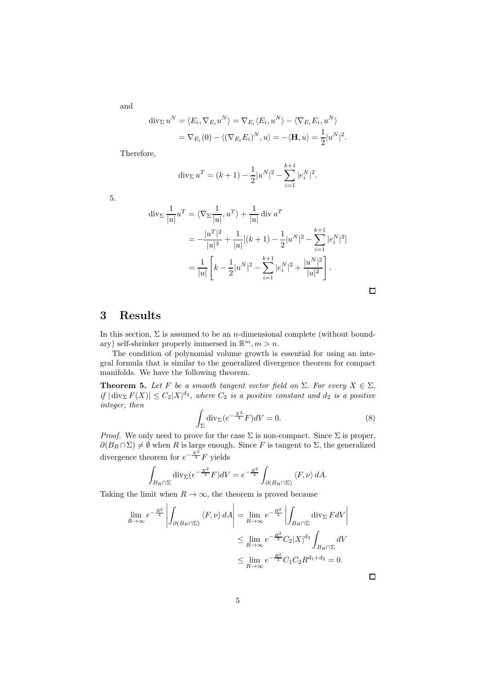and

$$
\operatorname{div}_{\Sigma} u^N = \langle E_i, \nabla_{E_i} u^N \rangle = \nabla_{E_i} \langle E_i, u^N \rangle - \langle \nabla_{E_i} E_i, u^N \rangle
$$
  
=  $\nabla_{E_i}(0) - \langle (\nabla_{E_i} E_i)^N, u \rangle = -\langle \mathbf{H}, u \rangle = \frac{1}{2} |u^N|^2.$ 

Therefore,

$$
\operatorname{div}_{\Sigma} u^T = (k+1) - \frac{1}{2} |u^N|^2 - \sum_{i=1}^{k+1} |e_i^N|^2.
$$

5.

$$
\operatorname{div}_{\Sigma} \frac{1}{|u|} u^T = \langle \nabla_{\Sigma} \frac{1}{|u|}, u^T \rangle + \frac{1}{|u|} \operatorname{div} u^T
$$
  
=  $-\frac{|u^T|^2}{|u|^3} + \frac{1}{|u|} [(k+1) - \frac{1}{2} |u^N|^2 - \sum_{i=1}^{k+1} |e_i^N|^2]$   
=  $\frac{1}{|u|} \left[ k - \frac{1}{2} |u^N|^2 - \sum_{i=1}^{k+1} |e_i^N|^2 + \frac{|u^N|^2}{|u|^2} \right].$ 

# 3 Results

In this section,  $\Sigma$  is assumed to be an *n*-dimensional complete (without boundary) self-shrinker properly immersed in  $\mathbb{R}^m, m > n$ .

The condition of polynomial volume growth is essential for using an integral formula that is similar to the generalized divergence theorem for compact manifolds. We have the following theorem.

<span id="page-4-0"></span>**Theorem 5.** Let F be a smooth tangent vector field on  $\Sigma$ . For every  $X \in \Sigma$ , if  $|\text{div}_{\Sigma} F(X)| \leq C_2 |X|^{d_2}$ , where  $C_2$  is a positive constant and  $d_2$  is a positive integer, then

$$
\int_{\Sigma} \operatorname{div}_{\Sigma} \left( e^{-\frac{X^2}{4}} F \right) dV = 0. \tag{8}
$$

*Proof.* We only need to prove for the case  $\Sigma$  is non-compact. Since  $\Sigma$  is proper,  $\partial(B_R \cap \Sigma) \neq \emptyset$  when R is large enough. Since F is tangent to  $\Sigma$ , the generalized divergence theorem for  $e^{-\frac{X^2}{4}}F$  yields

$$
\int_{B_R \cap \Sigma} \operatorname{div}_{\Sigma} (e^{-\frac{X^2}{4}} F) dV = e^{-\frac{R^2}{4}} \int_{\partial (B_R \cap \Sigma)} \langle F, \nu \rangle dA.
$$

Taking the limit when  $R \to \infty$ , the theorem is proved because

$$
\lim_{R \to \infty} e^{-\frac{R^2}{4}} \left| \int_{\partial (B_R \cap \Sigma)} \langle F, \nu \rangle dA \right| = \lim_{R \to \infty} e^{-\frac{R^2}{4}} \left| \int_{B_R \cap \Sigma} \text{div}_{\Sigma} F dV \right|
$$
  

$$
\leq \lim_{R \to \infty} e^{-\frac{R^2}{4}} C_2 |X|^{d_2} \int_{B_R \cap \Sigma} dV
$$
  

$$
\leq \lim_{R \to \infty} e^{-\frac{R^2}{4}} C_1 C_2 R^{d_1 + d_2} = 0.
$$

 $\Box$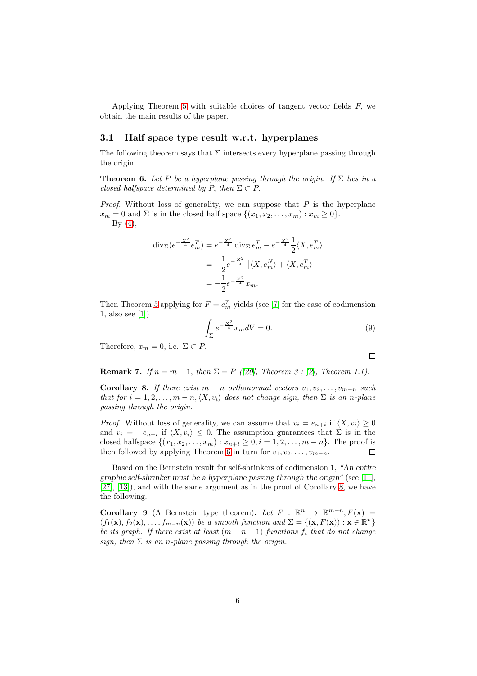Applying Theorem [5](#page-4-0) with suitable choices of tangent vector fields  $F$ , we obtain the main results of the paper.

### 3.1 Half space type result w.r.t. hyperplanes

The following theorem says that  $\Sigma$  intersects every hyperplane passing through the origin.

<span id="page-5-1"></span>**Theorem 6.** Let P be a hyperplane passing through the origin. If  $\Sigma$  lies in a closed halfspace determined by P, then  $\Sigma \subset P$ .

*Proof.* Without loss of generality, we can suppose that  $P$  is the hyperplane  $x_m = 0$  and  $\Sigma$  is in the closed half space  $\{(x_1, x_2, \ldots, x_m) : x_m \geq 0\}.$ By  $(4)$ ,

$$
\operatorname{div}_{\Sigma} (e^{-\frac{X^2}{4}} e_m^T) = e^{-\frac{X^2}{4}} \operatorname{div}_{\Sigma} e_m^T - e^{-\frac{X^2}{4}} \frac{1}{2} \langle X, e_m^T \rangle
$$

$$
= -\frac{1}{2} e^{-\frac{X^2}{4}} \left[ \langle X, e_m^N \rangle + \langle X, e_m^T \rangle \right]
$$

$$
= -\frac{1}{2} e^{-\frac{X^2}{4}} x_m.
$$

Then Theorem [5](#page-4-0) applying for  $F = e_m^T$  yields (see [\[7\]](#page-9-3) for the case of codimension 1, also see [\[1\]](#page-9-4))

<span id="page-5-0"></span>
$$
\int_{\Sigma} e^{-\frac{X^2}{4}} x_m dV = 0. \tag{9}
$$

Therefore,  $x_m = 0$ , i.e.  $\Sigma \subset P$ .

**Remark 7.** If  $n = m - 1$ , then  $\Sigma = P$  ([\[20\]](#page-10-5), Theorem 3; [\[2\]](#page-9-2), Theorem 1.1).

<span id="page-5-2"></span>Corollary 8. If there exist  $m - n$  orthonormal vectors  $v_1, v_2, \ldots, v_{m-n}$  such that for  $i = 1, 2, ..., m - n, \langle X, v_i \rangle$  does not change sign, then  $\Sigma$  is an n-plane passing through the origin.

*Proof.* Without loss of generality, we can assume that  $v_i = e_{n+i}$  if  $\langle X, v_i \rangle \geq 0$ and  $v_i = -e_{n+i}$  if  $\langle X, v_i \rangle \leq 0$ . The assumption guarantees that  $\Sigma$  is in the closed halfspace  $\{(x_1, x_2, \ldots, x_m) : x_{n+i} \geq 0, i = 1, 2, \ldots, m-n\}$ . The proof is then followed by applying Theorem 6 in turn for  $v_1, v_2, \ldots, v_{m-n}$ . then followed by applying Theorem [6](#page-5-1) in turn for  $v_1, v_2, \ldots, v_{m-n}$ .

Based on the Bernstein result for self-shrinkers of codimension 1, *"An entire graphic self-shrinker must be a hyperplane passing through the origin"* (see [\[11\]](#page-9-10), [\[27\]](#page-10-13), [\[13\]](#page-10-14)), and with the same argument as in the proof of Corollary [8,](#page-5-2) we have the following.

Corollary 9 (A Bernstein type theorem). Let  $F : \mathbb{R}^n \to \mathbb{R}^{m-n}, F(\mathbf{x}) =$  $(f_1(\mathbf{x}), f_2(\mathbf{x}), \ldots, f_{m-n}(\mathbf{x}))$  be a smooth function and  $\Sigma = \{(\mathbf{x}, F(\mathbf{x})): \mathbf{x} \in \mathbb{R}^n\}$ be its graph. If there exist at least  $(m - n - 1)$  functions  $f_i$  that do not change sign, then  $\Sigma$  is an n-plane passing through the origin.

 $\Box$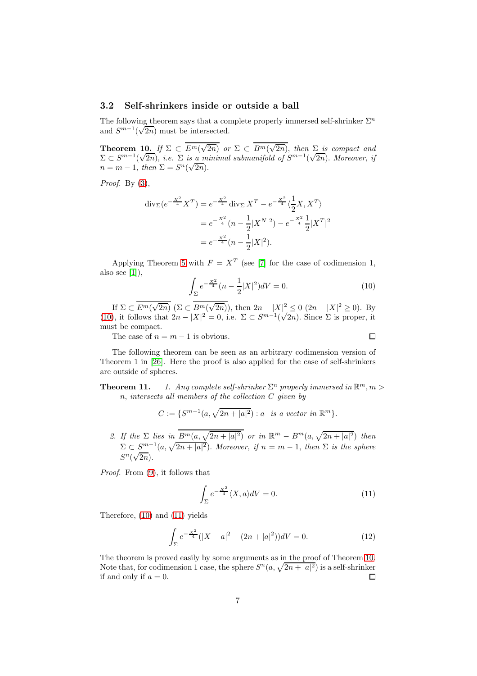#### 3.2 Self-shrinkers inside or outside a ball

The following theorem says that a complete properly immersed self-shrinker  $\Sigma^n$ and  $S^{m-1}(\sqrt{2n})$  must be intersected.

<span id="page-6-2"></span>**Theorem 10.** If  $\Sigma \subset \overline{E^m(\sqrt{2n})}$  or  $\Sigma \subset \overline{B^m(\sqrt{2n})}$ , then  $\Sigma$  is compact and  $\Sigma \subset S^{m-1}(\sqrt{2n}),$  i.e.  $\Sigma$  is a minimal submanifold of  $S^{m-1}(\sqrt{2n})$ . Moreover, if  $n = m - 1$ , then  $\Sigma = S^n(\sqrt{2n})$ .

Proof. By  $(3)$ ,

$$
\operatorname{div}_{\Sigma} (e^{-\frac{X^2}{4}} X^T) = e^{-\frac{X^2}{4}} \operatorname{div}_{\Sigma} X^T - e^{-\frac{X^2}{4}} \langle \frac{1}{2} X, X^T \rangle
$$
  
=  $e^{-\frac{X^2}{4}} (n - \frac{1}{2} |X^N|^2) - e^{-\frac{X^2}{4}} \frac{1}{2} |X^T|^2$   
=  $e^{-\frac{X^2}{4}} (n - \frac{1}{2} |X|^2).$ 

Applying Theorem [5](#page-4-0) with  $F = X^T$  (see [\[7\]](#page-9-3) for the case of codimension 1, also see  $[1]$ ,

<span id="page-6-0"></span>
$$
\int_{\Sigma} e^{-\frac{X^2}{4}} (n - \frac{1}{2}|X|^2) dV = 0.
$$
\n(10)

If  $\Sigma \subset \overline{E^m(\sqrt{2n})}$   $(\Sigma \subset \overline{B^m(\sqrt{2n})})$ , then  $2n - |X|^2 \leq 0$   $(2n - |X|^2 \geq 0)$ . By [\(10\)](#page-6-0), it follows that  $2n - |X|^2 = 0$ , i.e.  $\Sigma \subset S^{m-1}(\sqrt{2n})$ . Since  $\Sigma$  is proper, it must be compact.  $\Box$ 

The case of  $n = m - 1$  is obvious.

The following theorem can be seen as an arbitrary codimension version of Theorem 1 in [\[26\]](#page-10-7). Here the proof is also applied for the case of self-shrinkers are outside of spheres.

**Theorem 11.** 1. Any complete self-shrinker  $\Sigma^n$  properly immersed in  $\mathbb{R}^m$ ,  $m >$ n, intersects all members of the collection C given by

$$
C := \{ S^{m-1}(a, \sqrt{2n+|a|^2}) : a \text{ is a vector in } \mathbb{R}^m \}.
$$

2. If the  $\Sigma$  lies in  $B^m(a,\sqrt{2n+|a|^2})$  or in  $\mathbb{R}^m - B^m(a,\sqrt{2n+|a|^2})$  then  $\Sigma \subset \mathcal{S}_{\bullet}^{m-1}(a,\sqrt{2n+|a|^2})$ . Moreover, if  $n = m-1$ , then  $\Sigma$  is the sphere  $S^n(\sqrt{2n}).$ 

Proof. From [\(9\)](#page-5-0), it follows that

<span id="page-6-1"></span>
$$
\int_{\Sigma} e^{-\frac{X^2}{4}} \langle X, a \rangle dV = 0.
$$
\n(11)

Therefore, [\(10\)](#page-6-0) and [\(11\)](#page-6-1) yields

$$
\int_{\Sigma} e^{-\frac{X^2}{4}} (|X - a|^2 - (2n + |a|^2)) dV = 0.
$$
 (12)

The theorem is proved easily by some arguments as in the proof of Theorem [10.](#page-6-2) Note that, for codimension 1 case, the sphere  $S^n(a, \sqrt{2n + |a|^2})$  is a self-shrinker if and only if  $a = 0$ .  $\Box$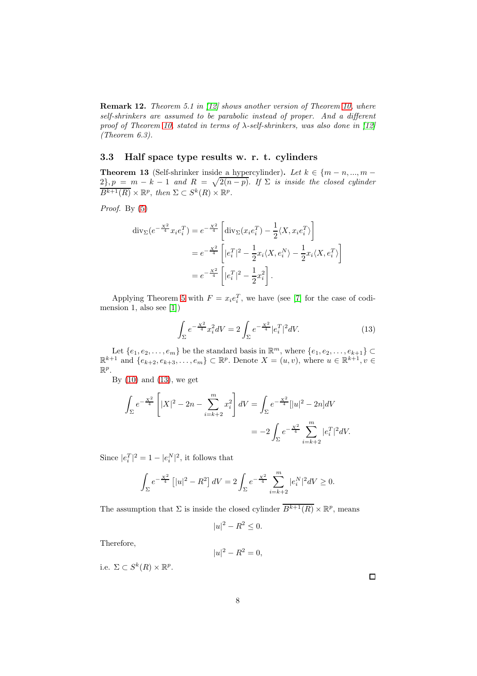Remark 12. Theorem 5.1 in [\[12\]](#page-9-11) shows another version of Theorem [10,](#page-6-2) where self-shrinkers are assumed to be parabolic instead of proper. And a different proof of Theorem [10,](#page-6-2) stated in terms of  $\lambda$ -self-shrinkers, was also done in [\[12\]](#page-9-11) (Theorem 6.3).

#### 3.3 Half space type results w. r. t. cylinders

**Theorem 13** (Self-shrinker inside a hypercylinder). Let  $k \in \{m - n, ..., m - n\}$  $2\}, p = m - k - 1$  and  $R = \sqrt{2(n-p)}$ . If  $\Sigma$  is inside the closed cylinder  $\overline{B^{k+1}(R)} \times \mathbb{R}^p$ , then  $\Sigma \subset S^k(R) \times \mathbb{R}^p$ .

Proof. By  $(5)$ 

$$
\operatorname{div}_{\Sigma} (e^{-\frac{X^2}{4}} x_i e_i^T) = e^{-\frac{X^2}{4}} \left[ \operatorname{div}_{\Sigma} (x_i e_i^T) - \frac{1}{2} \langle X, x_i e_i^T \rangle \right]
$$
  
=  $e^{-\frac{X^2}{4}} \left[ |e_i^T|^2 - \frac{1}{2} x_i \langle X, e_i^N \rangle - \frac{1}{2} x_i \langle X, e_i^T \rangle \right]$   
=  $e^{-\frac{X^2}{4}} \left[ |e_i^T|^2 - \frac{1}{2} x_i^2 \right].$ 

Applying Theorem [5](#page-4-0) with  $F = x_i e_i^T$ , we have (see [\[7\]](#page-9-3) for the case of codimension 1, also see [\[1\]](#page-9-4))

<span id="page-7-0"></span>
$$
\int_{\Sigma} e^{-\frac{X^2}{4}} x_i^2 dV = 2 \int_{\Sigma} e^{-\frac{X^2}{4}} |e_i^T|^2 dV.
$$
 (13)

Let  $\{e_1, e_2, \ldots, e_m\}$  be the standard basis in  $\mathbb{R}^m$ , where  $\{e_1, e_2, \ldots, e_{k+1}\} \subset \mathbb{R}^{k+1}$  and  $\{e_{k+2}, e_{k+3}, \ldots, e_m\} \subset \mathbb{R}^p$ . Denote  $X = (u, v)$ , where  $u \in \mathbb{R}^{k+1}$ ,  $v \in$  $\mathbb{R}^p$ .

By  $(10)$  and  $(13)$ , we get

$$
\int_{\Sigma} e^{-\frac{X^2}{4}} \left[ |X|^2 - 2n - \sum_{i=k+2}^m x_i^2 \right] dV = \int_{\Sigma} e^{-\frac{X^2}{4}} [|u|^2 - 2n] dV
$$

$$
= -2 \int_{\Sigma} e^{-\frac{X^2}{4}} \sum_{i=k+2}^m |e_i^T|^2 dV.
$$

Since  $|e_i^T|^2 = 1 - |e_i^N|^2$ , it follows that

$$
\int_{\Sigma} e^{-\frac{X^2}{4}} \left[ |u|^2 - R^2 \right] dV = 2 \int_{\Sigma} e^{-\frac{X^2}{4}} \sum_{i=k+2}^m |e_i^N|^2 dV \ge 0.
$$

The assumption that  $\Sigma$  is inside the closed cylinder  $\overline{B^{k+1}(R)} \times \mathbb{R}^p$ , means

$$
|u|^2 - R^2 \le 0.
$$

Therefore,

$$
|u|^2 - R^2 = 0,
$$

i.e.  $\Sigma \subset S^k(R) \times \mathbb{R}^p$ .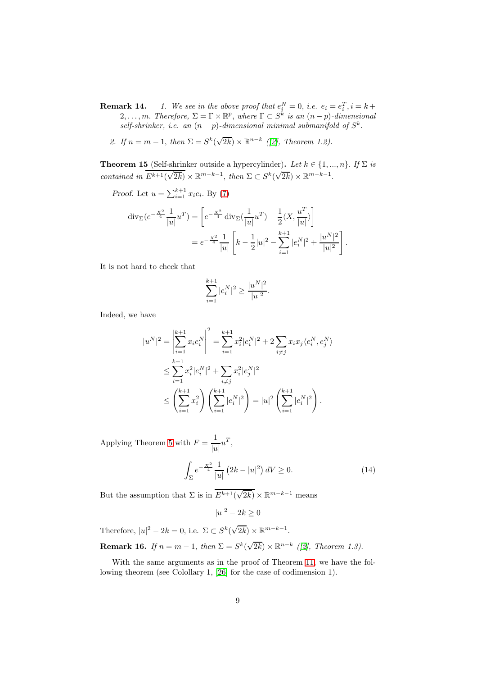**Remark 14.** 1. We see in the above proof that  $e_i^N = 0$ , i.e.  $e_i = e_i^T$ ,  $i = k +$  $2, \ldots, m$ . Therefore,  $\Sigma = \Gamma \times \mathbb{R}^p$ , where  $\Gamma \subset S^k$  is an  $(n-p)$ -dimensional self-shrinker, i.e. an  $(n-p)$ -dimensional minimal submanifold of  $S^k$ .

2. If  $n = m - 1$ , then  $\Sigma = S^k(\sqrt{2k}) \times \mathbb{R}^{n-k}$  ([\[2\]](#page-9-2), Theorem 1.2).

**Theorem 15** (Self-shrinker outside a hypercylinder). Let  $k \in \{1, ..., n\}$ . If  $\Sigma$  is contained in  $\overline{E^{k+1}(\sqrt{2k})} \times \mathbb{R}^{m-k-1}$ , then  $\Sigma \subset S^k(\sqrt{2k}) \times \mathbb{R}^{m-k-1}$ .

*Proof.* Let  $u = \sum_{i=1}^{k+1} x_i e_i$ . By [\(7\)](#page-3-0)

$$
\operatorname{div}_{\Sigma} (e^{-\frac{X^2}{4}} \frac{1}{|u|} u^T) = \left[ e^{-\frac{X^2}{4}} \operatorname{div}_{\Sigma} (\frac{1}{|u|} u^T) - \frac{1}{2} \langle X, \frac{u^T}{|u|} \rangle \right]
$$
  
=  $e^{-\frac{X^2}{4}} \frac{1}{|u|} \left[ k - \frac{1}{2} |u|^2 - \sum_{i=1}^{k+1} |e_i^N|^2 + \frac{|u^N|^2}{|u|^2} \right].$ 

It is not hard to check that

$$
\sum_{i=1}^{k+1} |e_i^N|^2 \ge \frac{|u^N|^2}{|u|^2}.
$$

Indeed, we have

$$
|u^N|^2 = \left| \sum_{i=1}^{k+1} x_i e_i^N \right|^2 = \sum_{i=1}^{k+1} x_i^2 |e_i^N|^2 + 2 \sum_{i \neq j} x_i x_j \langle e_i^N, e_j^N \rangle
$$
  

$$
\leq \sum_{i=1}^{k+1} x_i^2 |e_i^N|^2 + \sum_{i \neq j} x_i^2 |e_j^N|^2
$$
  

$$
\leq \left( \sum_{i=1}^{k+1} x_i^2 \right) \left( \sum_{i=1}^{k+1} |e_i^N|^2 \right) = |u|^2 \left( \sum_{i=1}^{k+1} |e_i^N|^2 \right).
$$

Applying Theorem [5](#page-4-0) with  $F = \frac{1}{1}$  $\frac{1}{|u|}u^T$ 

$$
\int_{\Sigma} e^{-\frac{X^2}{4}} \frac{1}{|u|} (2k - |u|^2) dV \ge 0.
$$
 (14)

But the assumption that  $\Sigma$  is in  $\overline{E^{k+1}(\sqrt{2k})} \times \mathbb{R}^{m-k-1}$  means

$$
|u|^2 - 2k \ge 0
$$

Therefore,  $|u|^2 - 2k = 0$ , i.e.  $\Sigma \subset S^k(\sqrt{2k}) \times \mathbb{R}^{m-k-1}$ .

**Remark 16.** If 
$$
n = m - 1
$$
, then  $\Sigma = S^k(\sqrt{2k}) \times \mathbb{R}^{n-k}$  ([2], Theorem 1.3).

With the same arguments as in the proof of Theorem 11, we have the following theorem (see Colollary 1, [\[26\]](#page-10-7) for the case of codimension 1).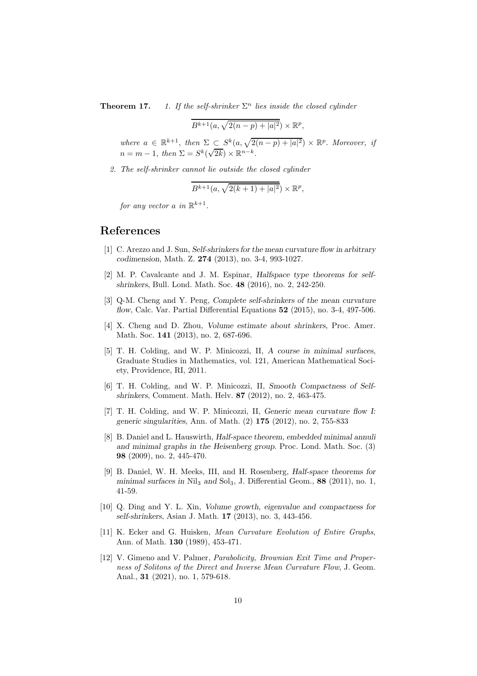**Theorem 17.** 1. If the self-shrinker  $\Sigma^n$  lies inside the closed cylinder

$$
B^{k+1}(a,\sqrt{2(n-p)+|a|^2})\times\mathbb{R}^p,
$$

where  $a \in \mathbb{R}^{k+1}$ , then  $\Sigma \subseteq S^k(a, \sqrt{2(n-p)+|a|^2}) \times \mathbb{R}^p$ . Moreover, if  $n = m - 1$ , then  $\Sigma = S^k(\sqrt{2k}) \times \mathbb{R}^{n-k}$ .

2. The self-shrinker cannot lie outside the closed cylinder

$$
\overline{B^{k+1}(a,\sqrt{2(k+1)+|a|^2})}\times\mathbb{R}^p,
$$

for any vector a in  $\mathbb{R}^{k+1}$ .

## <span id="page-9-4"></span>References

- [1] C. Arezzo and J. Sun, *Self-shrinkers for the mean curvature flow in arbitrary codimension*, Math. Z. 274 (2013), no. 3-4, 993-1027.
- <span id="page-9-2"></span>[2] M. P. Cavalcante and J. M. Espinar, *Halfspace type theorems for selfshrinkers*, Bull. Lond. Math. Soc. 48 (2016), no. 2, 242-250.
- <span id="page-9-9"></span>[3] Q-M. Cheng and Y. Peng, *Complete self-shrinkers of the mean curvature flow*, Calc. Var. Partial Differential Equations 52 (2015), no. 3-4, 497-506.
- <span id="page-9-7"></span>[4] X. Cheng and D. Zhou, *Volume estimate about shrinkers*, Proc. Amer. Math. Soc. **141** (2013), no. 2, 687-696.
- <span id="page-9-5"></span>[5] T. H. Colding, and W. P. Minicozzi, II, *A course in minimal surfaces*, Graduate Studies in Mathematics, vol. 121, American Mathematical Society, Providence, RI, 2011.
- <span id="page-9-6"></span>[6] T. H. Colding, and W. P. Minicozzi, II, *Smooth Compactness of Selfshrinkers*, Comment. Math. Helv. 87 (2012), no. 2, 463-475.
- <span id="page-9-3"></span>[7] T. H. Colding, and W. P. Minicozzi, II, *Generic mean curvature flow I: generic singularities*, Ann. of Math. (2) 175 (2012), no. 2, 755-833
- <span id="page-9-0"></span>[8] B. Daniel and L. Hauswirth, *Half-space theorem, embedded minimal annuli and minimal graphs in the Heisenberg group*. Proc. Lond. Math. Soc. (3) 98 (2009), no. 2, 445-470.
- <span id="page-9-1"></span>[9] B. Daniel, W. H. Meeks, III, and H. Rosenberg, *Half-space theorems for minimal surfaces in*  $\text{Nil}_3$  *and*  $\text{Sol}_3$ , J. Differential Geom., **88** (2011), no. 1, 41-59.
- <span id="page-9-8"></span>[10] Q. Ding and Y. L. Xin, *Volume growth, eigenvalue and compactness for self-shrinkers*, Asian J. Math. 17 (2013), no. 3, 443-456.
- <span id="page-9-10"></span>[11] K. Ecker and G. Huisken, Mean Curvature Evolution of Entire Graphs, Ann. of Math. 130 (1989), 453-471.
- <span id="page-9-11"></span>[12] V. Gimeno and V. Palmer, *Parabolicity*, *Brownian Exit Time and Proper*ness of Solitons of the Direct and Inverse Mean Curvature Flow, J. Geom. Anal., 31 (2021), no. 1, 579-618.